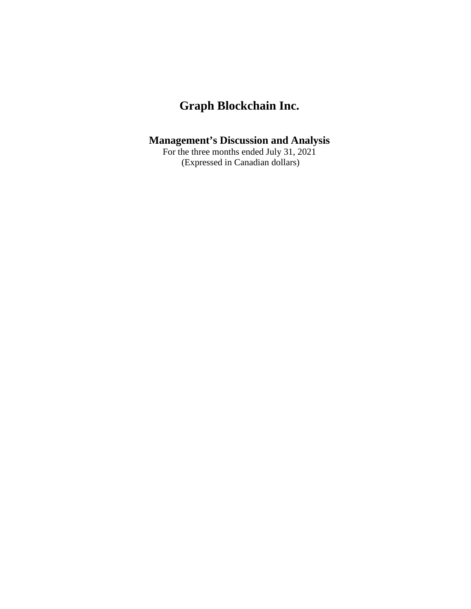#### **Management's Discussion and Analysis**

For the three months ended July 31, 2021 (Expressed in Canadian dollars)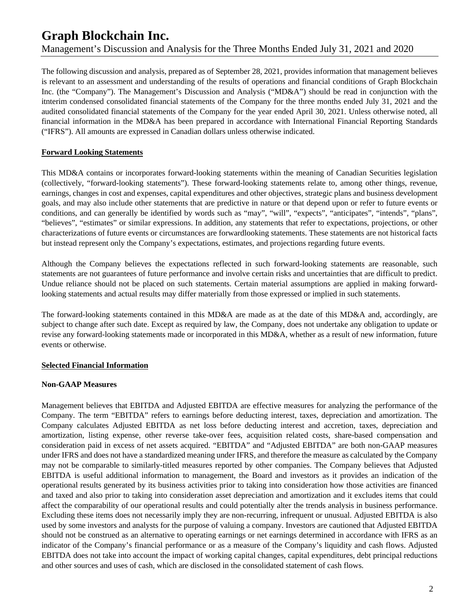The following discussion and analysis, prepared as of September 28, 2021, provides information that management believes is relevant to an assessment and understanding of the results of operations and financial conditions of Graph Blockchain Inc. (the "Company"). The Management's Discussion and Analysis ("MD&A") should be read in conjunction with the itnterim condensed consolidated financial statements of the Company for the three months ended July 31, 2021 and the audited consolidated financial statements of the Company for the year ended April 30, 2021. Unless otherwise noted, all financial information in the MD&A has been prepared in accordance with International Financial Reporting Standards ("IFRS"). All amounts are expressed in Canadian dollars unless otherwise indicated.

#### **Forward Looking Statements**

This MD&A contains or incorporates forward-looking statements within the meaning of Canadian Securities legislation (collectively, "forward-looking statements"). These forward-looking statements relate to, among other things, revenue, earnings, changes in cost and expenses, capital expenditures and other objectives, strategic plans and business development goals, and may also include other statements that are predictive in nature or that depend upon or refer to future events or conditions, and can generally be identified by words such as "may", "will", "expects", "anticipates", "intends", "plans", "believes", "estimates" or similar expressions. In addition, any statements that refer to expectations, projections, or other characterizations of future events or circumstances are forwardlooking statements. These statements are not historical facts but instead represent only the Company's expectations, estimates, and projections regarding future events.

Although the Company believes the expectations reflected in such forward-looking statements are reasonable, such statements are not guarantees of future performance and involve certain risks and uncertainties that are difficult to predict. Undue reliance should not be placed on such statements. Certain material assumptions are applied in making forwardlooking statements and actual results may differ materially from those expressed or implied in such statements.

The forward-looking statements contained in this MD&A are made as at the date of this MD&A and, accordingly, are subject to change after such date. Except as required by law, the Company, does not undertake any obligation to update or revise any forward-looking statements made or incorporated in this MD&A, whether as a result of new information, future events or otherwise.

#### **Selected Financial Information**

#### **Non-GAAP Measures**

Management believes that EBITDA and Adjusted EBITDA are effective measures for analyzing the performance of the Company. The term "EBITDA" refers to earnings before deducting interest, taxes, depreciation and amortization. The Company calculates Adjusted EBITDA as net loss before deducting interest and accretion, taxes, depreciation and amortization, listing expense, other reverse take-over fees, acquisition related costs, share-based compensation and consideration paid in excess of net assets acquired. "EBITDA" and "Adjusted EBITDA" are both non-GAAP measures under IFRS and does not have a standardized meaning under IFRS, and therefore the measure as calculated by the Company may not be comparable to similarly-titled measures reported by other companies. The Company believes that Adjusted EBITDA is useful additional information to management, the Board and investors as it provides an indication of the operational results generated by its business activities prior to taking into consideration how those activities are financed and taxed and also prior to taking into consideration asset depreciation and amortization and it excludes items that could affect the comparability of our operational results and could potentially alter the trends analysis in business performance. Excluding these items does not necessarily imply they are non-recurring, infrequent or unusual. Adjusted EBITDA is also used by some investors and analysts for the purpose of valuing a company. Investors are cautioned that Adjusted EBITDA should not be construed as an alternative to operating earnings or net earnings determined in accordance with IFRS as an indicator of the Company's financial performance or as a measure of the Company's liquidity and cash flows. Adjusted EBITDA does not take into account the impact of working capital changes, capital expenditures, debt principal reductions and other sources and uses of cash, which are disclosed in the consolidated statement of cash flows.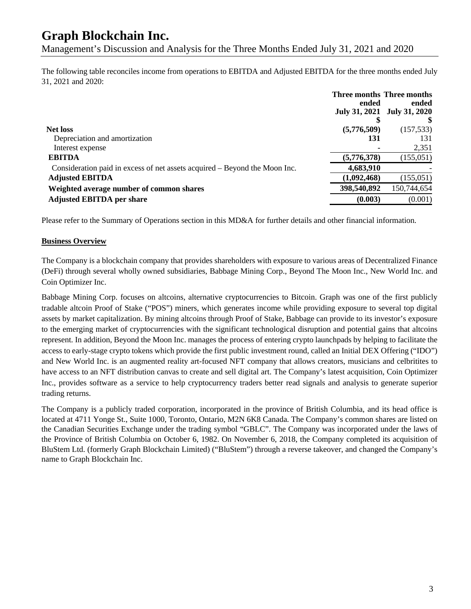### **Graph Blockchain Inc.** Management's Discussion and Analysis for the Three Months Ended July 31, 2021 and 2020

The following table reconciles income from operations to EBITDA and Adjusted EBITDA for the three months ended July 31, 2021 and 2020:

|                                                                            | ended       | Three months Three months<br>ended |
|----------------------------------------------------------------------------|-------------|------------------------------------|
|                                                                            |             | July 31, 2021 July 31, 2020        |
|                                                                            |             |                                    |
| <b>Net loss</b>                                                            | (5,776,509) | (157, 533)                         |
| Depreciation and amortization                                              | 131         | 131                                |
| Interest expense                                                           |             | 2,351                              |
| <b>EBITDA</b>                                                              | (5,776,378) | (155, 051)                         |
| Consideration paid in excess of net assets acquired – Beyond the Moon Inc. | 4,683,910   |                                    |
| <b>Adjusted EBITDA</b>                                                     | (1,092,468) | (155, 051)                         |
| Weighted average number of common shares                                   | 398,540,892 | 150,744,654                        |
| <b>Adjusted EBITDA per share</b>                                           | (0.003)     | (0.001)                            |

Please refer to the Summary of Operations section in this MD&A for further details and other financial information.

#### **Business Overview**

The Company is a blockchain company that provides shareholders with exposure to various areas of Decentralized Finance (DeFi) through several wholly owned subsidiaries, Babbage Mining Corp., Beyond The Moon Inc., New World Inc. and Coin Optimizer Inc.

Babbage Mining Corp. focuses on altcoins, alternative cryptocurrencies to Bitcoin. Graph was one of the first publicly tradable altcoin Proof of Stake ("POS") miners, which generates income while providing exposure to several top digital assets by market capitalization. By mining altcoins through Proof of Stake, Babbage can provide to its investor's exposure to the emerging market of cryptocurrencies with the significant technological disruption and potential gains that altcoins represent. In addition, Beyond the Moon Inc. manages the process of entering crypto launchpads by helping to facilitate the access to early-stage crypto tokens which provide the first public investment round, called an Initial DEX Offering ("IDO") and New World Inc. is an augmented reality art-focused NFT company that allows creators, musicians and celbritites to have access to an NFT distribution canvas to create and sell digital art. The Company's latest acquisition, Coin Optimizer Inc., provides software as a service to help cryptocurrency traders better read signals and analysis to generate superior trading returns.

The Company is a publicly traded corporation, incorporated in the province of British Columbia, and its head office is located at 4711 Yonge St., Suite 1000, Toronto, Ontario, M2N 6K8 Canada. The Company's common shares are listed on the Canadian Securities Exchange under the trading symbol "GBLC". The Company was incorporated under the laws of the Province of British Columbia on October 6, 1982. On November 6, 2018, the Company completed its acquisition of BluStem Ltd. (formerly Graph Blockchain Limited) ("BluStem") through a reverse takeover, and changed the Company's name to Graph Blockchain Inc.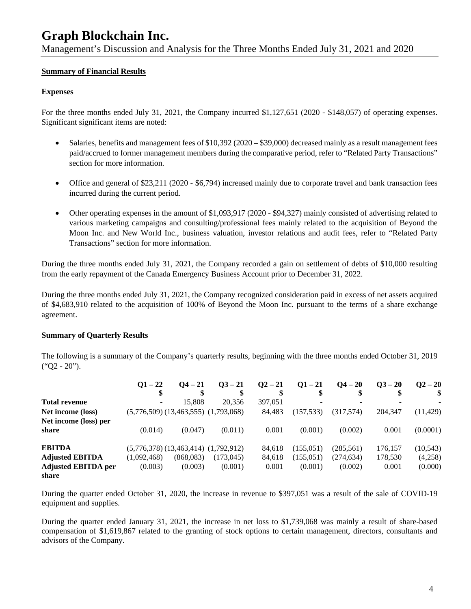Management's Discussion and Analysis for the Three Months Ended July 31, 2021 and 2020

#### **Summary of Financial Results**

#### **Expenses**

For the three months ended July 31, 2021, the Company incurred \$1,127,651 (2020 - \$148,057) of operating expenses. Significant significant items are noted:

- Salaries, benefits and management fees of \$10,392 (2020 \$39,000) decreased mainly as a result management fees paid/accrued to former management members during the comparative period, refer to "Related Party Transactions" section for more information.
- Office and general of \$23,211 (2020 \$6,794) increased mainly due to corporate travel and bank transaction fees incurred during the current period.
- Other operating expenses in the amount of \$1,093,917 (2020 \$94,327) mainly consisted of advertising related to various marketing campaigns and consulting/professional fees mainly related to the acquisition of Beyond the Moon Inc. and New World Inc., business valuation, investor relations and audit fees, refer to "Related Party Transactions" section for more information.

During the three months ended July 31, 2021, the Company recorded a gain on settlement of debts of \$10,000 resulting from the early repayment of the Canada Emergency Business Account prior to December 31, 2022.

During the three months ended July 31, 2021, the Company recognized consideration paid in excess of net assets acquired of \$4,683,910 related to the acquisition of 100% of Beyond the Moon Inc. pursuant to the terms of a share exchange agreement.

#### **Summary of Quarterly Results**

The following is a summary of the Company's quarterly results, beginning with the three months ended October 31, 2019 ("Q2 - 20").

|                            | $Q1 - 22$                                  | $Q_4 - 21$ | $03 - 21$  | $Q^2 - 21$ | $O1 - 21$  | $Q_4 - 20$ | $Q3 - 20$ | $Q2 - 20$ |
|----------------------------|--------------------------------------------|------------|------------|------------|------------|------------|-----------|-----------|
|                            | \$                                         |            |            |            |            |            |           |           |
| <b>Total revenue</b>       | $\sim$                                     | 15.808     | 20.356     | 397.051    |            |            |           |           |
| Net income (loss)          | $(5,776,509)$ $(13,463,555)$ $(1,793,068)$ |            |            | 84,483     | (157, 533) | (317,574)  | 204,347   | (11, 429) |
| Net income (loss) per      |                                            |            |            |            |            |            |           |           |
| share                      | (0.014)                                    | (0.047)    | (0.011)    | 0.001      | (0.001)    | (0.002)    | 0.001     | (0.0001)  |
| <b>EBITDA</b>              | $(5,776,378)$ $(13,463,414)$ $(1,792,912)$ |            |            | 84.618     | (155, 051) | (285, 561) | 176,157   | (10, 543) |
| <b>Adjusted EBITDA</b>     | (1,092,468)                                | (868,083)  | (173, 045) | 84,618     | (155, 051) | (274, 634) | 178,530   | (4,258)   |
| <b>Adjusted EBITDA per</b> | (0.003)                                    | (0.003)    | (0.001)    | 0.001      | (0.001)    | (0.002)    | 0.001     | (0.000)   |
| share                      |                                            |            |            |            |            |            |           |           |

During the quarter ended October 31, 2020, the increase in revenue to \$397,051 was a result of the sale of COVID-19 equipment and supplies.

During the quarter ended January 31, 2021, the increase in net loss to \$1,739,068 was mainly a result of share-based compensation of \$1,619,867 related to the granting of stock options to certain management, directors, consultants and advisors of the Company.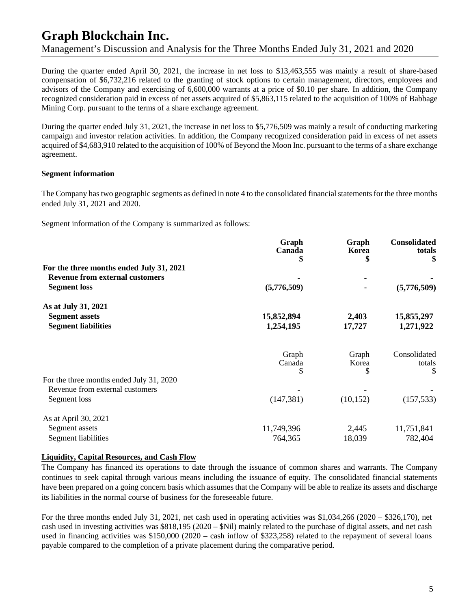## **Graph Blockchain Inc.** Management's Discussion and Analysis for the Three Months Ended July 31, 2021 and 2020

During the quarter ended April 30, 2021, the increase in net loss to \$13,463,555 was mainly a result of share-based compensation of \$6,732,216 related to the granting of stock options to certain management, directors, employees and advisors of the Company and exercising of 6,600,000 warrants at a price of \$0.10 per share. In addition, the Company recognized consideration paid in excess of net assets acquired of \$5,863,115 related to the acquisition of 100% of Babbage Mining Corp. pursuant to the terms of a share exchange agreement.

During the quarter ended July 31, 2021, the increase in net loss to \$5,776,509 was mainly a result of conducting marketing campaign and investor relation activities. In addition, the Company recognized consideration paid in excess of net assets acquired of \$4,683,910 related to the acquisition of 100% of Beyond the Moon Inc. pursuant to the terms of a share exchange agreement.

#### **Segment information**

The Company has two geographic segments as defined in note 4 to the consolidated financial statements for the three months ended July 31, 2021 and 2020.

Segment information of the Company is summarized as follows:

|                                          | Graph<br>Canada<br>\$ | Graph<br>Korea | <b>Consolidated</b><br>totals<br>\$ |
|------------------------------------------|-----------------------|----------------|-------------------------------------|
| For the three months ended July 31, 2021 |                       |                |                                     |
| <b>Revenue from external customers</b>   |                       |                |                                     |
| <b>Segment</b> loss                      | (5,776,509)           |                | (5,776,509)                         |
| As at July 31, 2021                      |                       |                |                                     |
| <b>Segment assets</b>                    | 15,852,894            | 2,403          | 15,855,297                          |
| <b>Segment liabilities</b>               | 1,254,195             | 17,727         | 1,271,922                           |
|                                          | Graph                 | Graph          | Consolidated                        |
|                                          | Canada                | Korea          | totals                              |
|                                          | \$                    | \$             | \$                                  |
| For the three months ended July 31, 2020 |                       |                |                                     |
| Revenue from external customers          |                       |                |                                     |
| Segment loss                             | (147, 381)            | (10, 152)      | (157, 533)                          |
| As at April 30, 2021                     |                       |                |                                     |
| Segment assets                           | 11,749,396            | 2,445          | 11,751,841                          |
| Segment liabilities                      | 764,365               | 18,039         | 782,404                             |
|                                          |                       |                |                                     |

#### **Liquidity, Capital Resources, and Cash Flow**

The Company has financed its operations to date through the issuance of common shares and warrants. The Company continues to seek capital through various means including the issuance of equity. The consolidated financial statements have been prepared on a going concern basis which assumes that the Company will be able to realize its assets and discharge its liabilities in the normal course of business for the foreseeable future.

For the three months ended July 31, 2021, net cash used in operating activities was  $$1,034,266$  (2020 –  $$326,170$ ), net cash used in investing activities was \$818,195 (2020 – \$Nil) mainly related to the purchase of digital assets, and net cash used in financing activities was \$150,000 (2020 – cash inflow of \$323,258) related to the repayment of several loans payable compared to the completion of a private placement during the comparative period.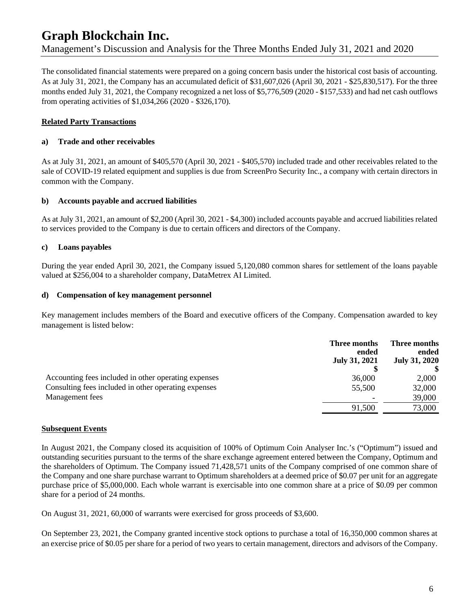Management's Discussion and Analysis for the Three Months Ended July 31, 2021 and 2020

The consolidated financial statements were prepared on a going concern basis under the historical cost basis of accounting. As at July 31, 2021, the Company has an accumulated deficit of \$31,607,026 (April 30, 2021 - \$25,830,517). For the three months ended July 31, 2021, the Company recognized a net loss of \$5,776,509 (2020 - \$157,533) and had net cash outflows from operating activities of \$1,034,266 (2020 - \$326,170).

#### **Related Party Transactions**

#### **a) Trade and other receivables**

As at July 31, 2021, an amount of \$405,570 (April 30, 2021 - \$405,570) included trade and other receivables related to the sale of COVID-19 related equipment and supplies is due from ScreenPro Security Inc., a company with certain directors in common with the Company.

#### **b) Accounts payable and accrued liabilities**

As at July 31, 2021, an amount of \$2,200 (April 30, 2021 - \$4,300) included accounts payable and accrued liabilities related to services provided to the Company is due to certain officers and directors of the Company.

#### **c) Loans payables**

During the year ended April 30, 2021, the Company issued 5,120,080 common shares for settlement of the loans payable valued at \$256,004 to a shareholder company, DataMetrex AI Limited.

#### **d) Compensation of key management personnel**

Key management includes members of the Board and executive officers of the Company. Compensation awarded to key management is listed below:

|                                                      | Three months<br>ended<br><b>July 31, 2021</b> | Three months<br>ended<br><b>July 31, 2020</b> |
|------------------------------------------------------|-----------------------------------------------|-----------------------------------------------|
| Accounting fees included in other operating expenses | 36,000                                        | 2,000                                         |
| Consulting fees included in other operating expenses | 55,500                                        | 32,000                                        |
| Management fees                                      |                                               | 39,000                                        |
|                                                      | 91,500                                        | 73,000                                        |

#### **Subsequent Events**

In August 2021, the Company closed its acquisition of 100% of Optimum Coin Analyser Inc.'s ("Optimum") issued and outstanding securities pursuant to the terms of the share exchange agreement entered between the Company, Optimum and the shareholders of Optimum. The Company issued 71,428,571 units of the Company comprised of one common share of the Company and one share purchase warrant to Optimum shareholders at a deemed price of \$0.07 per unit for an aggregate purchase price of \$5,000,000. Each whole warrant is exercisable into one common share at a price of \$0.09 per common share for a period of 24 months.

On August 31, 2021, 60,000 of warrants were exercised for gross proceeds of \$3,600.

On September 23, 2021, the Company granted incentive stock options to purchase a total of 16,350,000 common shares at an exercise price of \$0.05 per share for a period of two years to certain management, directors and advisors of the Company.